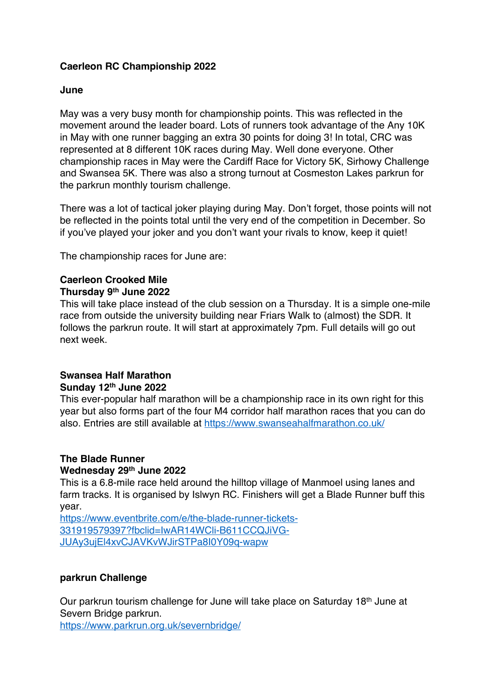## **Caerleon RC Championship 2022**

### **June**

May was a very busy month for championship points. This was reflected in the movement around the leader board. Lots of runners took advantage of the Any 10K in May with one runner bagging an extra 30 points for doing 3! In total, CRC was represented at 8 different 10K races during May. Well done everyone. Other championship races in May were the Cardiff Race for Victory 5K, Sirhowy Challenge and Swansea 5K. There was also a strong turnout at Cosmeston Lakes parkrun for the parkrun monthly tourism challenge.

There was a lot of tactical joker playing during May. Don't forget, those points will not be reflected in the points total until the very end of the competition in December. So if you've played your joker and you don't want your rivals to know, keep it quiet!

The championship races for June are:

# **Caerleon Crooked Mile**

#### **Thursday 9th June 2022**

This will take place instead of the club session on a Thursday. It is a simple one-mile race from outside the university building near Friars Walk to (almost) the SDR. It follows the parkrun route. It will start at approximately 7pm. Full details will go out next week.

#### **Swansea Half Marathon Sunday 12th June 2022**

This ever-popular half marathon will be a championship race in its own right for this year but also forms part of the four M4 corridor half marathon races that you can do also. Entries are still available at https://www.swanseahalfmarathon.co.uk/

#### **The Blade Runner Wednesday 29th June 2022**

This is a 6.8-mile race held around the hilltop village of Manmoel using lanes and farm tracks. It is organised by Islwyn RC. Finishers will get a Blade Runner buff this year.

https://www.eventbrite.com/e/the-blade-runner-tickets-331919579397?fbclid=IwAR14WCli-B611CCQJiVG-JUAy3ujEl4xvCJAVKvWJirSTPa8I0Y09q-wapw

## **parkrun Challenge**

Our parkrun tourism challenge for June will take place on Saturday 18th June at Severn Bridge parkrun.

https://www.parkrun.org.uk/severnbridge/